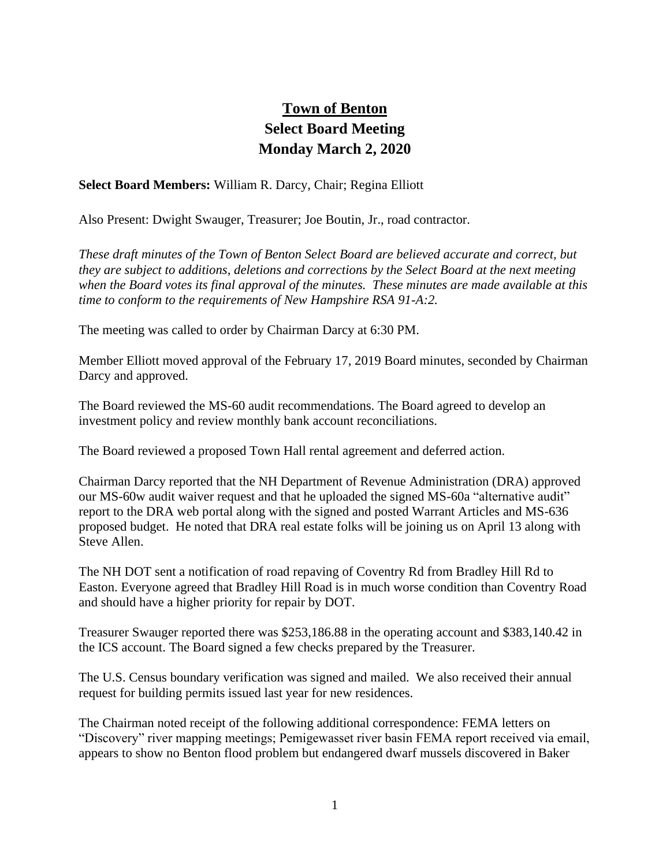## **Town of Benton Select Board Meeting Monday March 2, 2020**

**Select Board Members:** William R. Darcy, Chair; Regina Elliott

Also Present: Dwight Swauger, Treasurer; Joe Boutin, Jr., road contractor.

*These draft minutes of the Town of Benton Select Board are believed accurate and correct, but they are subject to additions, deletions and corrections by the Select Board at the next meeting when the Board votes its final approval of the minutes. These minutes are made available at this time to conform to the requirements of New Hampshire RSA 91-A:2.*

The meeting was called to order by Chairman Darcy at 6:30 PM.

Member Elliott moved approval of the February 17, 2019 Board minutes, seconded by Chairman Darcy and approved.

The Board reviewed the MS-60 audit recommendations. The Board agreed to develop an investment policy and review monthly bank account reconciliations.

The Board reviewed a proposed Town Hall rental agreement and deferred action.

Chairman Darcy reported that the NH Department of Revenue Administration (DRA) approved our MS-60w audit waiver request and that he uploaded the signed MS-60a "alternative audit" report to the DRA web portal along with the signed and posted Warrant Articles and MS-636 proposed budget. He noted that DRA real estate folks will be joining us on April 13 along with Steve Allen.

The NH DOT sent a notification of road repaving of Coventry Rd from Bradley Hill Rd to Easton. Everyone agreed that Bradley Hill Road is in much worse condition than Coventry Road and should have a higher priority for repair by DOT.

Treasurer Swauger reported there was \$253,186.88 in the operating account and \$383,140.42 in the ICS account. The Board signed a few checks prepared by the Treasurer.

The U.S. Census boundary verification was signed and mailed. We also received their annual request for building permits issued last year for new residences.

The Chairman noted receipt of the following additional correspondence: FEMA letters on "Discovery" river mapping meetings; Pemigewasset river basin FEMA report received via email, appears to show no Benton flood problem but endangered dwarf mussels discovered in Baker